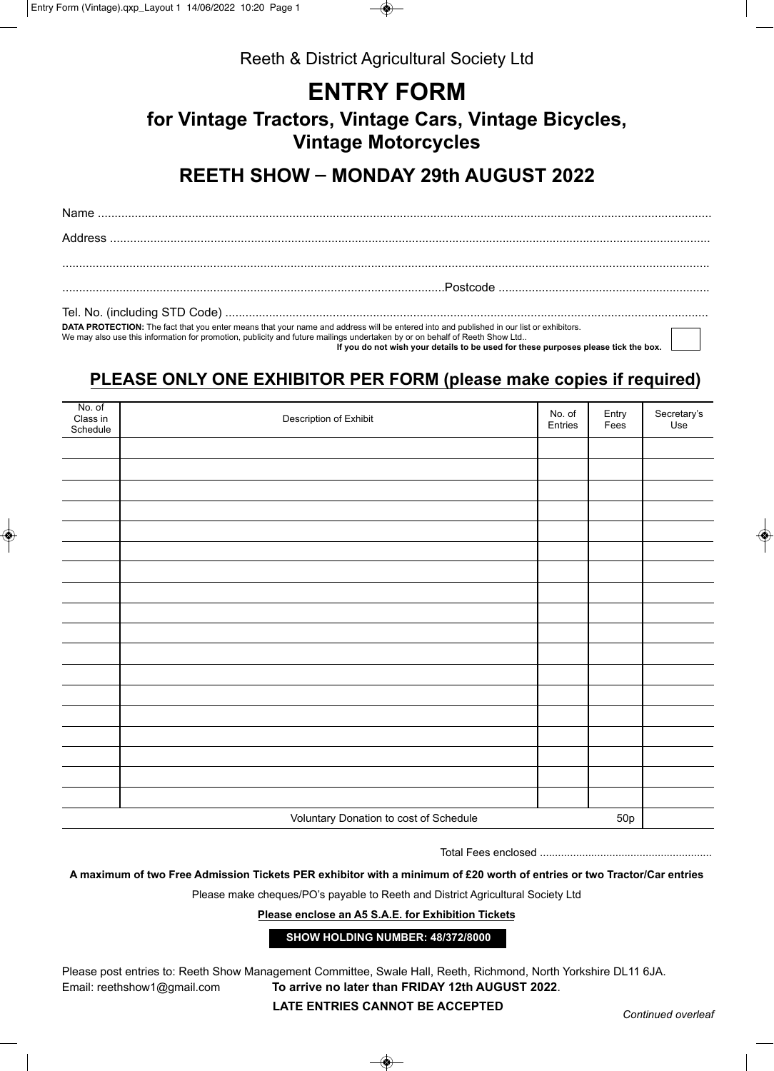

Reeth & District Agricultural Society Ltd

## **ENTRY FORM**

**for Vintage Tractors, Vintage Cars, Vintage Bicycles, Vintage Motorcycles**

## **REETH SHOW - MONDAY 29th AUGUST 2022**

| DATA PROTECTION: The fact that you enter means that your name and address will be entered into and published in our list or exhibitors.<br>We may also use this information for promotion, publicity and future mailings undertaken by or on behalf of Reeth Show Ltd | $\mathbf{I}$ |
|-----------------------------------------------------------------------------------------------------------------------------------------------------------------------------------------------------------------------------------------------------------------------|--------------|

 **If you do not wish your details to be used for these purposes please tick the box.**

## **PLEASE ONLY ONE EXHIBITOR PER FORM (please make copies if required)**

| No. of<br>Class in<br>Schedule | Description of Exhibit                 | No. of<br>Entries | Entry<br>Fees | Secretary's<br>Use |
|--------------------------------|----------------------------------------|-------------------|---------------|--------------------|
|                                |                                        |                   |               |                    |
|                                |                                        |                   |               |                    |
|                                |                                        |                   |               |                    |
|                                |                                        |                   |               |                    |
|                                |                                        |                   |               |                    |
|                                |                                        |                   |               |                    |
|                                |                                        |                   |               |                    |
|                                |                                        |                   |               |                    |
|                                |                                        |                   |               |                    |
|                                |                                        |                   |               |                    |
|                                |                                        |                   |               |                    |
|                                |                                        |                   |               |                    |
|                                |                                        |                   |               |                    |
|                                |                                        |                   |               |                    |
|                                |                                        |                   |               |                    |
|                                |                                        |                   |               |                    |
|                                |                                        |                   |               |                    |
|                                | Voluntary Donation to cost of Schedule |                   | 50p           |                    |

Total Fees enclosed .........................................................

**A maximum of two Free Admission Tickets PER exhibitor with a minimum of £20 worth of entries or two Tractor/Car entries**

Please make cheques/PO's payable to Reeth and District Agricultural Society Ltd

**Please enclose an A5 S.A.E. for Exhibition Tickets**

**SHOW HOLDING NUMBER: 48/372/8000**

Please post entries to: Reeth Show Management Committee, Swale Hall, Reeth, Richmond, North Yorkshire DL11 6JA. Email: reethshow1@gmail.com **To arrive no later than FRIDAY 12th AUGUST 2022**.

**LATE ENTRIES CANNOT BE ACCEPTED** *Continued overleaf*

◈